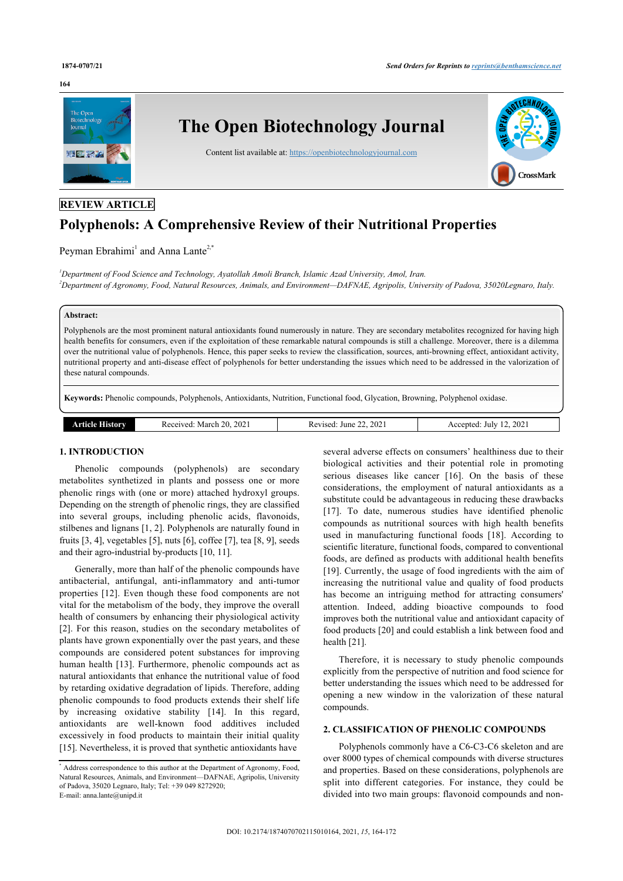#### **164**



# **REVIEW ARTICLE**

# **Polyphenols: A Comprehensive Review of their Nutritional Properties**

Peyman Ebrahimi<sup>[1](#page-0-0)</sup> and Anna Lante<sup>[2,](#page-0-1)[\\*](#page-0-2)</sup>

<span id="page-0-1"></span><span id="page-0-0"></span>*<sup>1</sup>Department of Food Science and Technology, Ayatollah Amoli Branch, Islamic Azad University, Amol, Iran. <sup>2</sup>Department of Agronomy, Food, Natural Resources, Animals, and Environment—DAFNAE, Agripolis, University of Padova, 35020Legnaro, Italy.*

# **Abstract:**

Polyphenols are the most prominent natural antioxidants found numerously in nature. They are secondary metabolites recognized for having high health benefits for consumers, even if the exploitation of these remarkable natural compounds is still a challenge. Moreover, there is a dilemma over the nutritional value of polyphenols. Hence, this paper seeks to review the classification, sources, anti-browning effect, antioxidant activity, nutritional property and anti-disease effect of polyphenols for better understanding the issues which need to be addressed in the valorization of these natural compounds.

**Keywords:** Phenolic compounds, Polyphenols, Antioxidants, Nutrition, Functional food, Glycation, Browning, Polyphenol oxidase.

| $\mathbf{A}$ $\mathbf{B}$ $\mathbf{W}$<br><b>חמד</b> | 2021<br>-20.<br>March<br>Received. | 2021<br>June<br>Revised.<br>. | 2021<br>∵ente∩.<br>July<br>Acc |
|------------------------------------------------------|------------------------------------|-------------------------------|--------------------------------|
|                                                      |                                    |                               |                                |

#### **1. INTRODUCTION**

Phenolic compounds (polyphenols) are secondary metabolites synthetized in plants and possess one or more phenolic rings with (one or more) attached hydroxyl groups. Depending on the strength of phenolic rings, they are classified into several groups, including phenolic acids, flavonoids, stilbenes and lignans [\[1,](#page-5-0) [2](#page-5-1)]. Polyphenols are naturally found in fruits [\[3,](#page-5-2) [4\]](#page-5-3), vegetables [[5](#page-5-4)], nuts [[6](#page-5-5)], coffee [[7](#page-5-6)], tea [[8](#page-5-7), [9](#page-5-8)], seeds and their agro-industrial by-products [\[10](#page-5-9), [11\]](#page-5-10).

Generally, more than half of the phenolic compounds have antibacterial, antifungal, anti-inflammatory and anti-tumor properties [\[12](#page-5-11)]. Even though these food components are not vital for the metabolism of the body, they improve the overall health of consumers by enhancing their physiological activity [[2](#page-5-1)]. For this reason, studies on the secondary metabolites of plants have grown exponentially over the past years, and these compounds are considered potent substances for improving human health [[13](#page-5-12)]. Furthermore, phenolic compounds act as natural antioxidants that enhance the nutritional value of food by retarding oxidative degradation of lipids. Therefore, adding phenolic compounds to food products extends their shelf life by increasing oxidative stability[[14](#page-5-13)]. In this regard, antioxidants are well-known food additives included excessively in food products to maintain their initial quality [[15\]](#page-5-14). Nevertheless, it is proved that synthetic antioxidants have

several adverse effects on consumers' healthiness due to their biological activities and their potential role in promoting serious diseases like cancer[[16\]](#page-5-15). On the basis of these considerations, the employment of natural antioxidants as a substitute could be advantageous in reducing these drawbacks [[17](#page-5-16)]. To date, numerous studies have identified phenolic compounds as nutritional sources with high health benefits used in manufacturing functional foods [\[18\]](#page-6-0). According to scientific literature, functional foods, compared to conventional foods, are defined as products with additional health benefits [[19](#page-6-1)]. Currently, the usage of food ingredients with the aim of increasing the nutritional value and quality of food products has become an intriguing method for attracting consumers' attention. Indeed, adding bioactive compounds to food improves both the nutritional value and antioxidant capacity of food products [[20\]](#page-6-2) and could establish a link between food and health [\[21](#page-6-3)].

Therefore, it is necessary to study phenolic compounds explicitly from the perspective of nutrition and food science for better understanding the issues which need to be addressed for opening a new window in the valorization of these natural compounds.

# **2. CLASSIFICATION OF PHENOLIC COMPOUNDS**

Polyphenols commonly have a C6-C3-C6 skeleton and are over 8000 types of chemical compounds with diverse structures and properties. Based on these considerations, polyphenols are split into different categories. For instance, they could be divided into two main groups: flavonoid compounds and non-

<span id="page-0-2"></span><sup>\*</sup> Address correspondence to this author at the Department of Agronomy, Food, Natural Resources, Animals, and Environment—DAFNAE, Agripolis, University of Padova, 35020 Legnaro, Italy; Tel: +39 049 8272920; E-mail: [anna.lante@unipd.it](mailto:anna.lante@unipd.it)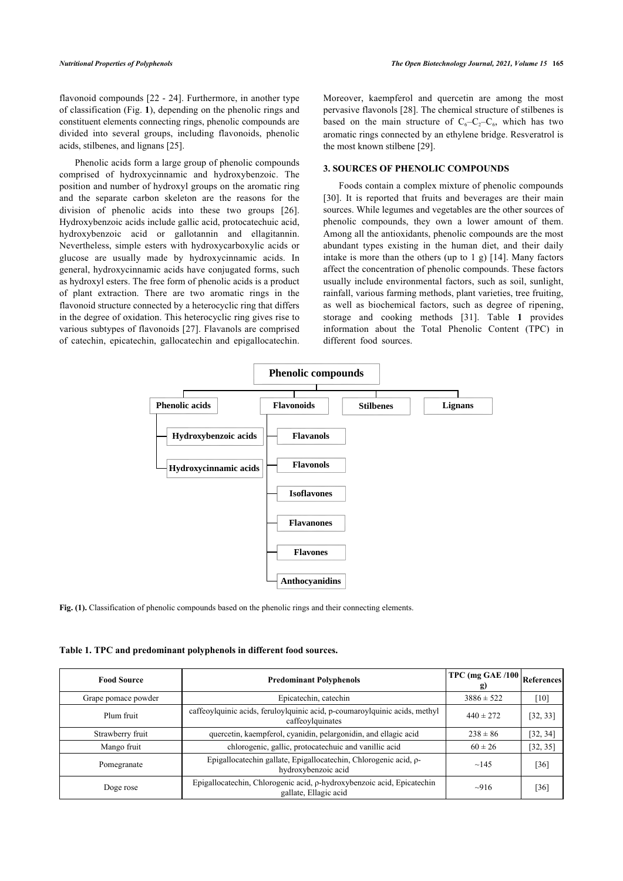flavonoid compounds [\[22](#page-6-4) - [24](#page-6-5)]. Furthermore, in another type of classification (Fig. **[1](#page-1-0)**), depending on the phenolic rings and constituent elements connecting rings, phenolic compounds are divided into several groups, including flavonoids, phenolic acids, stilbenes, and lignans [\[25](#page-6-6)].

Phenolic acids form a large group of phenolic compounds comprised of hydroxycinnamic and hydroxybenzoic. The position and number of hydroxyl groups on the aromatic ring and the separate carbon skeleton are the reasons for the division of phenolic acids into these two groups[[26\]](#page-6-7). Hydroxybenzoic acids include gallic acid, protocatechuic acid, hydroxybenzoic acid or gallotannin and ellagitannin. Nevertheless, simple esters with hydroxycarboxylic acids or glucose are usually made by hydroxycinnamic acids. In general, hydroxycinnamic acids have conjugated forms, such as hydroxyl esters. The free form of phenolic acids is a product of plant extraction. There are two aromatic rings in the flavonoid structure connected by a heterocyclic ring that differs in the degree of oxidation. This heterocyclic ring gives rise to various subtypes of flavonoids [[27\]](#page-6-8). Flavanols are comprised of catechin, epicatechin, gallocatechin and epigallocatechin.

Moreover, kaempferol and quercetin are among the most pervasive flavonols [[28\]](#page-6-9). The chemical structure of stilbenes is based on the main structure of  $C_6-C_2-C_6$ , which has two aromatic rings connected by an ethylene bridge. Resveratrol is the most known stilbene [[29\]](#page-6-10).

### **3. SOURCES OF PHENOLIC COMPOUNDS**

Foods contain a complex mixture of phenolic compounds [[30](#page-6-11)]. It is reported that fruits and beverages are their main sources. While legumes and vegetables are the other sources of phenolic compounds, they own a lower amount of them. Among all the antioxidants, phenolic compounds are the most abundant types existing in the human diet, and their daily intake is more than the others (up to 1 g) [\[14\]](#page-5-13). Many factors affect the concentration of phenolic compounds. These factors usually include environmental factors, such as soil, sunlight, rainfall, various farming methods, plant varieties, tree fruiting, as well as biochemical factors, such as degree of ripening, storage and cooking methods[[31\]](#page-6-12). Table**1** provides information about the Total Phenolic Content (TPC) in different food sources.

<span id="page-1-0"></span>

**Fig. (1).** Classification of phenolic compounds based on the phenolic rings and their connecting elements.

<span id="page-1-1"></span>**Table 1. TPC and predominant polyphenols in different food sources.**

| <b>Food Source</b>  | <b>Predominant Polyphenols</b>                                                                  | TPC (mg GAE $/100$ )<br><b>g)</b> | <b>References</b> |
|---------------------|-------------------------------------------------------------------------------------------------|-----------------------------------|-------------------|
| Grape pomace powder | Epicatechin, catechin                                                                           | $3886 \pm 522$                    | $[10]$            |
| Plum fruit          | caffeoylquinic acids, feruloylquinic acid, p-coumaroylquinic acids, methyl<br>caffeoylquinates  |                                   | [32, 33]          |
| Strawberry fruit    | quercetin, kaempferol, cyanidin, pelargonidin, and ellagic acid                                 |                                   | [32, 34]          |
| Mango fruit         | chlorogenic, gallic, protocatechuic and vanillic acid                                           | $60 \pm 26$                       | [32, 35]          |
| Pomegranate         | Epigallocatechin gallate, Epigallocatechin, Chlorogenic acid, p-<br>hydroxybenzoic acid         | ~145                              | [36]              |
| Doge rose           | Epigallocatechin, Chlorogenic acid, p-hydroxybenzoic acid, Epicatechin<br>gallate, Ellagic acid | $\sim$ 916                        | [36]              |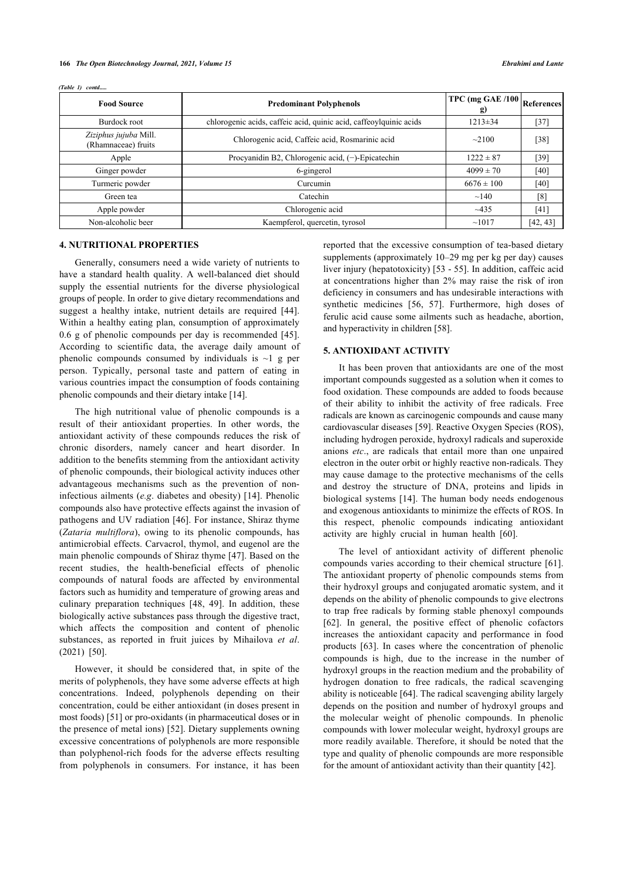| <b>Food Source</b>                           | <b>Predominant Polyphenols</b>                                     | $TPC$ (mg GAE /100)<br><b>g)</b> | References |
|----------------------------------------------|--------------------------------------------------------------------|----------------------------------|------------|
| Burdock root                                 | chlorogenic acids, caffeic acid, quinic acid, caffeoylquinic acids | $1213 \pm 34$                    | $[37]$     |
| Ziziphus jujuba Mill.<br>(Rhamnaceae) fruits | Chlorogenic acid, Caffeic acid, Rosmarinic acid                    | $\sim$ 2100                      | $[38]$     |
| Apple                                        | Procyanidin B2, Chlorogenic acid, $(-)$ -Epicatechin               | $1222 \pm 87$                    | [39]       |
| Ginger powder                                | 6-gingerol                                                         | $4099 \pm 70$                    | [40]       |
| Turmeric powder                              | Curcumin                                                           | $6676 \pm 100$                   | $[40]$     |
| Green tea                                    | Catechin                                                           | $\sim$ 140                       | [8]        |
| Apple powder                                 | Chlorogenic acid                                                   | $~1 - 435$                       | [41]       |
| Non-alcoholic beer                           | Kaempferol, quercetin, tyrosol                                     | ~1017                            | [42, 43]   |

#### *(Table 1) contd.....*

# **4. NUTRITIONAL PROPERTIES**

Generally, consumers need a wide variety of nutrients to have a standard health quality. A well-balanced diet should supply the essential nutrients for the diverse physiological groups of people. In order to give dietary recommendations and suggest a healthy intake, nutrient details are required[[44\]](#page-6-25). Within a healthy eating plan, consumption of approximately 0.6 g of phenolic compounds per day is recommended [[45\]](#page-6-8). According to scientific data, the average daily amount of phenolic compounds consumed by individuals is  $\sim$ 1 g per person. Typically, personal taste and pattern of eating in various countries impact the consumption of foods containing phenolic compounds and their dietary intake [\[14](#page-5-13)].

The high nutritional value of phenolic compounds is a result of their antioxidant properties. In other words, the antioxidant activity of these compounds reduces the risk of chronic disorders, namely cancer and heart disorder. In addition to the benefits stemming from the antioxidant activity of phenolic compounds, their biological activity induces other advantageous mechanisms such as the prevention of noninfectious ailments (*e.g*. diabetes and obesity) [\[14\]](#page-5-13). Phenolic compounds also have protective effects against the invasion of pathogens and UV radiation [\[46](#page-6-26)]. For instance, Shiraz thyme (*Zataria multiflora*), owing to its phenolic compounds, has antimicrobial effects. Carvacrol, thymol, and eugenol are the main phenolic compounds of Shiraz thyme [\[47\]](#page-6-27). Based on the recent studies, the health-beneficial effects of phenolic compounds of natural foods are affected by environmental factors such as humidity and temperature of growing areas and culinary preparation techniques [\[48](#page-6-28), [49](#page-6-13)]. In addition, these biologically active substances pass through the digestive tract, which affects the composition and content of phenolic substances, as reported in fruit juices by Mihailova *et al*. (2021)[[50\]](#page-6-14).

<span id="page-2-0"></span>However, it should be considered that, in spite of the merits of polyphenols, they have some adverse effects at high concentrations. Indeed, polyphenols depending on their concentration, could be either antioxidant (in doses present in most foods) [[51](#page-6-29)] or pro-oxidants (in pharmaceutical doses or in the presence of metal ions) [[52](#page-6-30)]. Dietary supplements owning excessive concentrations of polyphenols are more responsible than polyphenol-rich foods for the adverse effects resulting from polyphenols in consumers. For instance, it has been

reported that the excessive consumption of tea-based dietary supplements (approximately 10–29 mg per kg per day) causes liver injury (hepatotoxicity) [[53](#page-6-31) - [55](#page-7-0)]. In addition, caffeic acid at concentrations higher than 2% may raise the risk of iron deficiency in consumers and has undesirable interactions with synthetic medicines [\[56,](#page-7-1) [57](#page-7-2)]. Furthermore, high doses of ferulic acid cause some ailments such as headache, abortion, and hyperactivity in children [[58\]](#page-7-3).

# **5. ANTIOXIDANT ACTIVITY**

It has been proven that antioxidants are one of the most important compounds suggested as a solution when it comes to food oxidation. These compounds are added to foods because of their ability to inhibit the activity of free radicals. Free radicals are known as carcinogenic compounds and cause many cardiovascular diseases [[59\]](#page-7-4). Reactive Oxygen Species (ROS), including hydrogen peroxide, hydroxyl radicals and superoxide anions *etc*., are radicals that entail more than one unpaired electron in the outer orbit or highly reactive non-radicals. They may cause damage to the protective mechanisms of the cells and destroy the structure of DNA, proteins and lipids in biological systems [[14](#page-5-13)]. The human body needs endogenous and exogenous antioxidants to minimize the effects of ROS. In this respect, phenolic compounds indicating antioxidant activity are highly crucial in human health[[60\]](#page-7-5).

The level of antioxidant activity of different phenolic compounds varies according to their chemical structure [[61](#page-7-6)]. The antioxidant property of phenolic compounds stems from their hydroxyl groups and conjugated aromatic system, and it depends on the ability of phenolic compounds to give electrons to trap free radicals by forming stable phenoxyl compounds [[62](#page-7-7)]. In general, the positive effect of phenolic cofactors increases the antioxidant capacity and performance in food products[[63\]](#page-7-8). In cases where the concentration of phenolic compounds is high, due to the increase in the number of hydroxyl groups in the reaction medium and the probability of hydrogen donation to free radicals, the radical scavenging ability is noticeable [\[64](#page-7-9)]. The radical scavenging ability largely depends on the position and number of hydroxyl groups and the molecular weight of phenolic compounds. In phenolic compounds with lower molecular weight, hydroxyl groups are more readily available. Therefore, it should be noted that the type and quality of phenolic compounds are more responsible for the amount of antioxidant activity than their quantity [\[42](#page-6-23)].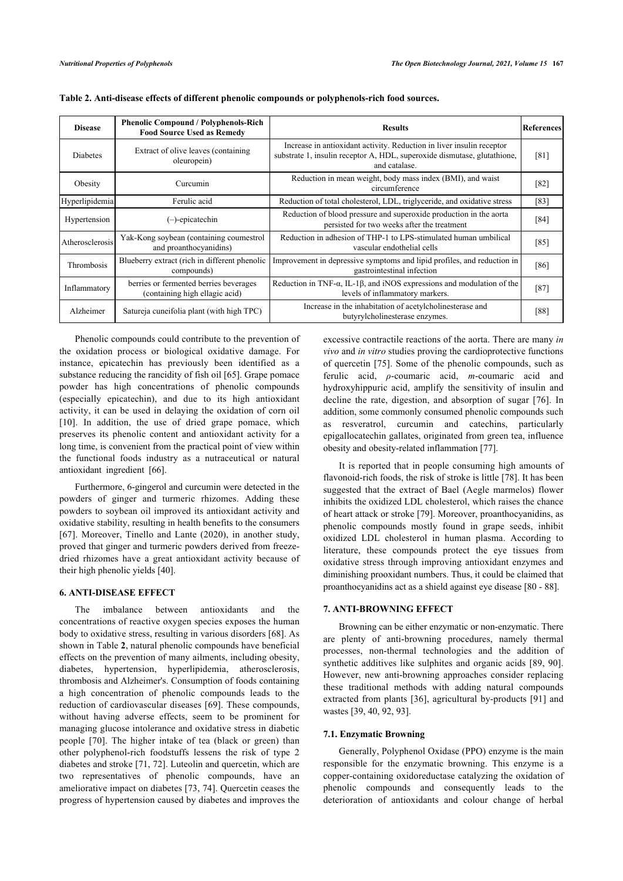| <b>Disease</b>    | <b>Phenolic Compound / Polyphenols-Rich</b><br><b>Food Source Used as Remedy</b> | <b>Results</b>                                                                                                                                                     |        |
|-------------------|----------------------------------------------------------------------------------|--------------------------------------------------------------------------------------------------------------------------------------------------------------------|--------|
| Diabetes          | Extract of olive leaves (containing)<br>oleuropein)                              | Increase in antioxidant activity. Reduction in liver insulin receptor<br>substrate 1, insulin receptor A, HDL, superoxide dismutase, glutathione,<br>and catalase. | [81]   |
| Obesity           | Curcumin                                                                         | Reduction in mean weight, body mass index (BMI), and waist<br>circumference                                                                                        | [82]   |
| Hyperlipidemia    | Ferulic acid                                                                     | Reduction of total cholesterol, LDL, triglyceride, and oxidative stress                                                                                            | [83]   |
| Hypertension      | (-)-epicatechin                                                                  | Reduction of blood pressure and superoxide production in the aorta<br>persisted for two weeks after the treatment                                                  | [84]   |
| Atherosclerosis   | Yak-Kong soybean (containing coumestrol<br>and proanthocyanidins)                | Reduction in adhesion of THP-1 to LPS-stimulated human umbilical<br>vascular endothelial cells                                                                     | [85]   |
| <b>Thrombosis</b> | Blueberry extract (rich in different phenolic<br>compounds)                      | Improvement in depressive symptoms and lipid profiles, and reduction in<br>gastrointestinal infection                                                              | [86]   |
| Inflammatory      | berries or fermented berries beverages<br>(containing high ellagic acid)         | Reduction in TNF- $\alpha$ , IL-1 $\beta$ , and iNOS expressions and modulation of the<br>levels of inflammatory markers.                                          | $[87]$ |
| Alzheimer         | Satureja cuneifolia plant (with high TPC)                                        | Increase in the inhabitation of acetylcholinesterase and<br>butyrylcholinesterase enzymes.                                                                         | [88]   |

|  | Table 2. Anti-disease effects of different phenolic compounds or polyphenols-rich food sources. |  |  |  |  |  |
|--|-------------------------------------------------------------------------------------------------|--|--|--|--|--|
|--|-------------------------------------------------------------------------------------------------|--|--|--|--|--|

Phenolic compounds could contribute to the prevention of the oxidation process or biological oxidative damage. For instance, epicatechin has previously been identified as a substance reducing the rancidity of fish oil [[65](#page-7-18)]. Grape pomace powder has high concentrations of phenolic compounds (especially epicatechin), and due to its high antioxidant activity, it can be used in delaying the oxidation of corn oil [[10\]](#page-5-9). In addition, the use of dried grape pomace, which preserves its phenolic content and antioxidant activity for a long time, is convenient from the practical point of view within the functional foods industry as a nutraceutical or natural antioxidant ingredient [\[66](#page-7-19)].

Furthermore, 6-gingerol and curcumin were detected in the powders of ginger and turmeric rhizomes. Adding these powders to soybean oil improved its antioxidant activity and oxidative stability, resulting in health benefits to the consumers [[67\]](#page-7-20). Moreover, Tinello and Lante (2020), in another study, proved that ginger and turmeric powders derived from freezedried rhizomes have a great antioxidant activity because of their high phenolic yields [[40\]](#page-6-21).

#### **6. ANTI-DISEASE EFFECT**

The imbalance between antioxidants and the concentrations of reactive oxygen species exposes the human body to oxidative stress, resulting in various disorders [\[68\]](#page-7-14). As shown in Table **[2](#page-2-0)**, natural phenolic compounds have beneficial effects on the prevention of many ailments, including obesity, diabetes, hypertension, hyperlipidemia, atherosclerosis, thrombosis and Alzheimer's. Consumption of foods containing a high concentration of phenolic compounds leads to the reduction of cardiovascular diseases [[69](#page-7-21)]. These compounds, without having adverse effects, seem to be prominent for managing glucose intolerance and oxidative stress in diabetic people [\[70](#page-7-22)]. The higher intake of tea (black or green) than other polyphenol-rich foodstuffs lessens the risk of type 2 diabetes and stroke [\[71](#page-7-16), [72](#page-7-17)]. Luteolin and quercetin, which are two representatives of phenolic compounds, have an ameliorative impact on diabetes [[73,](#page-7-23) [74\]](#page-7-0). Quercetin ceases the progress of hypertension caused by diabetes and improves the

excessive contractile reactions of the aorta. There are many *in vivo* and *in vitro* studies proving the cardioprotective functions of quercetin [[75\]](#page-7-24). Some of the phenolic compounds, such as ferulic acid, *ρ*-coumaric acid, *m*-coumaric acid and hydroxyhippuric acid, amplify the sensitivity of insulin and decline the rate, digestion, and absorption of sugar[[76\]](#page-7-25). In addition, some commonly consumed phenolic compounds such as resveratrol, curcumin and catechins, particularly epigallocatechin gallates, originated from green tea, influence obesity and obesity-related inflammation [[77\]](#page-7-26).

It is reported that in people consuming high amounts of flavonoid-rich foods, the risk of stroke is little [\[78](#page-7-27)]. It has been suggested that the extract of Bael (Aegle marmelos) flower inhibits the oxidized LDL cholesterol, which raises the chance of heart attack or stroke [[79\]](#page-7-6). Moreover, proanthocyanidins, as phenolic compounds mostly found in grape seeds, inhibit oxidized LDL cholesterol in human plasma. According to literature, these compounds protect the eye tissues from oxidative stress through improving antioxidant enzymes and diminishing prooxidant numbers. Thus, it could be claimed that proanthocyanidins act as a shield against eye disease [[80](#page-7-28) - [88](#page-7-17)].

# **7. ANTI-BROWNING EFFECT**

Browning can be either enzymatic or non-enzymatic. There are plenty of anti-browning procedures, namely thermal processes, non-thermal technologies and the addition of synthetic additives like sulphites and organic acids [\[89](#page-7-23), [90](#page-8-0)]. However, new anti-browning approaches consider replacing these traditional methods with adding natural compounds extracted from plants [[36\]](#page-6-17), agricultural by-products [[91](#page-8-1)] and wastes [\[39](#page-6-20), [40,](#page-6-21) [92](#page-8-2), [93\]](#page-8-3).

#### **7.1. Enzymatic Browning**

Generally, Polyphenol Oxidase (PPO) enzyme is the main responsible for the enzymatic browning. This enzyme is a copper-containing oxidoreductase catalyzing the oxidation of phenolic compounds and consequently leads to the deterioration of antioxidants and colour change of herbal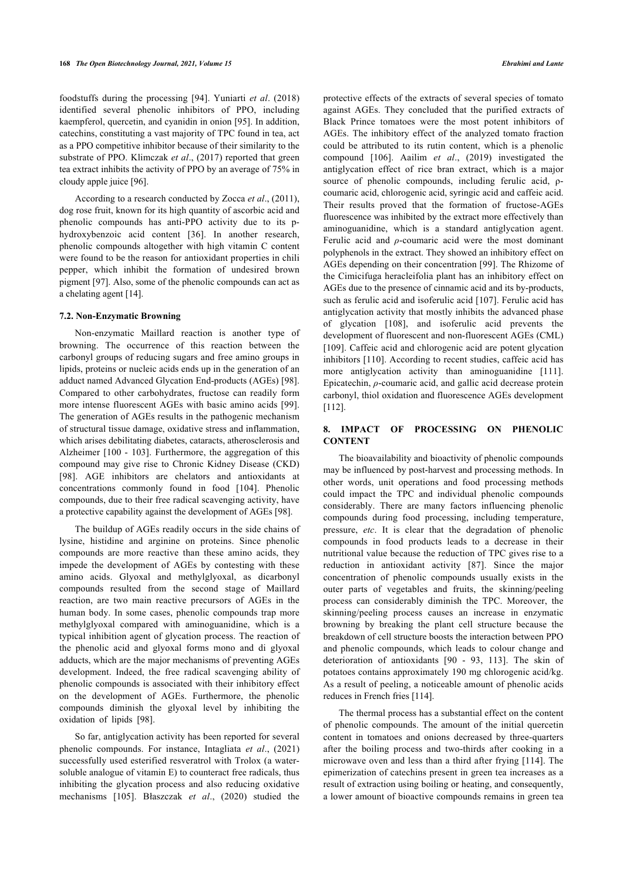foodstuffs during the processing [\[94](#page-8-4)]. Yuniarti *et al*. (2018) identified several phenolic inhibitors of PPO, including kaempferol, quercetin, and cyanidin in onion [\[95](#page-8-5)]. In addition, catechins, constituting a vast majority of TPC found in tea, act as a PPO competitive inhibitor because of their similarity to the substrate of PPO. Klimczak *et al*., (2017) reported that green tea extract inhibits the activity of PPO by an average of 75% in cloudy apple juice [[96\]](#page-8-6).

According to a research conducted by Zocca *et al*., (2011), dog rose fruit, known for its high quantity of ascorbic acid and phenolic compounds has anti-PPO activity due to its phydroxybenzoic acid content[[36\]](#page-6-17). In another research, phenolic compounds altogether with high vitamin C content were found to be the reason for antioxidant properties in chili pepper, which inhibit the formation of undesired brown pigment [[97\]](#page-8-7). Also, some of the phenolic compounds can act as a chelating agent [[14\]](#page-5-13).

#### **7.2. Non-Enzymatic Browning**

Non-enzymatic Maillard reaction is another type of browning. The occurrence of this reaction between the carbonyl groups of reducing sugars and free amino groups in lipids, proteins or nucleic acids ends up in the generation of an adduct named Advanced Glycation End-products (AGEs) [[98](#page-8-8)]. Compared to other carbohydrates, fructose can readily form more intense fluorescent AGEs with basic amino acids [[99\]](#page-8-9). The generation of AGEs results in the pathogenic mechanism of structural tissue damage, oxidative stress and inflammation, which arises debilitating diabetes, cataracts, atherosclerosis and Alzheimer [[100](#page-8-10) - [103\]](#page-8-11). Furthermore, the aggregation of this compound may give rise to Chronic Kidney Disease (CKD) [[98\]](#page-8-8). AGE inhibitors are chelators and antioxidants at concentrations commonly found in food[[104\]](#page-8-12). Phenolic compounds, due to their free radical scavenging activity, have a protective capability against the development of AGEs [[98\]](#page-8-8).

The buildup of AGEs readily occurs in the side chains of lysine, histidine and arginine on proteins. Since phenolic compounds are more reactive than these amino acids, they impede the development of AGEs by contesting with these amino acids. Glyoxal and methylglyoxal, as dicarbonyl compounds resulted from the second stage of Maillard reaction, are two main reactive precursors of AGEs in the human body. In some cases, phenolic compounds trap more methylglyoxal compared with aminoguanidine, which is a typical inhibition agent of glycation process. The reaction of the phenolic acid and glyoxal forms mono and di glyoxal adducts, which are the major mechanisms of preventing AGEs development. Indeed, the free radical scavenging ability of phenolic compounds is associated with their inhibitory effect on the development of AGEs. Furthermore, the phenolic compounds diminish the glyoxal level by inhibiting the oxidation of lipids[[98\]](#page-8-8).

So far, antiglycation activity has been reported for several phenolic compounds. For instance, Intagliata *et al*., (2021) successfully used esterified resveratrol with Trolox (a watersoluble analogue of vitamin E) to counteract free radicals, thus inhibiting the glycation process and also reducing oxidative mechanisms [\[105](#page-8-13)]. Błaszczak *et al*., (2020) studied the

protective effects of the extracts of several species of tomato against AGEs. They concluded that the purified extracts of Black Prince tomatoes were the most potent inhibitors of AGEs. The inhibitory effect of the analyzed tomato fraction could be attributed to its rutin content, which is a phenolic compound [\[106\]](#page-8-14). Aailim *et al*., (2019) investigated the antiglycation effect of rice bran extract, which is a major source of phenolic compounds, including ferulic acid, ρcoumaric acid, chlorogenic acid, syringic acid and caffeic acid. Their results proved that the formation of fructose-AGEs fluorescence was inhibited by the extract more effectively than aminoguanidine, which is a standard antiglycation agent. Ferulic acid and *ρ*-coumaric acid were the most dominant polyphenols in the extract. They showed an inhibitory effect on AGEs depending on their concentration [\[99\]](#page-8-9). The Rhizome of the Cimicifuga heracleifolia plant has an inhibitory effect on AGEs due to the presence of cinnamic acid and its by-products, such as ferulic acid and isoferulic acid [[107\]](#page-8-0). Ferulic acid has antiglycation activity that mostly inhibits the advanced phase of glycation[[108\]](#page-8-15), and isoferulic acid prevents the development of fluorescent and non-fluorescent AGEs (CML) [[109\]](#page-8-16). Caffeic acid and chlorogenic acid are potent glycation inhibitors [\[110](#page-8-17)]. According to recent studies, caffeic acid has more antiglycation activity than aminoguanidine [\[111](#page-8-18)]. Epicatechin, *ρ*-coumaric acid, and gallic acid decrease protein carbonyl, thiol oxidation and fluorescence AGEs development [[112](#page-8-19)].

#### **8. IMPACT OF PROCESSING ON PHENOLIC CONTENT**

The bioavailability and bioactivity of phenolic compounds may be influenced by post-harvest and processing methods. In other words, unit operations and food processing methods could impact the TPC and individual phenolic compounds considerably. There are many factors influencing phenolic compounds during food processing, including temperature, pressure, *etc*. It is clear that the degradation of phenolic compounds in food products leads to a decrease in their nutritional value because the reduction of TPC gives rise to a reduction in antioxidant activity[[87\]](#page-7-16). Since the major concentration of phenolic compounds usually exists in the outer parts of vegetables and fruits, the skinning/peeling process can considerably diminish the TPC. Moreover, the skinning/peeling process causes an increase in enzymatic browning by breaking the plant cell structure because the breakdown of cell structure boosts the interaction between PPO and phenolic compounds, which leads to colour change and deterioration of antioxidants[[90](#page-8-0) - [93](#page-8-3), [113\]](#page-8-20). The skin of potatoes contains approximately 190 mg chlorogenic acid/kg. As a result of peeling, a noticeable amount of phenolic acids reduces in French fries [\[114\]](#page-8-21).

The thermal process has a substantial effect on the content of phenolic compounds. The amount of the initial quercetin content in tomatoes and onions decreased by three-quarters after the boiling process and two-thirds after cooking in a microwave oven and less than a third after frying [\[114\]](#page-8-21). The epimerization of catechins present in green tea increases as a result of extraction using boiling or heating, and consequently, a lower amount of bioactive compounds remains in green tea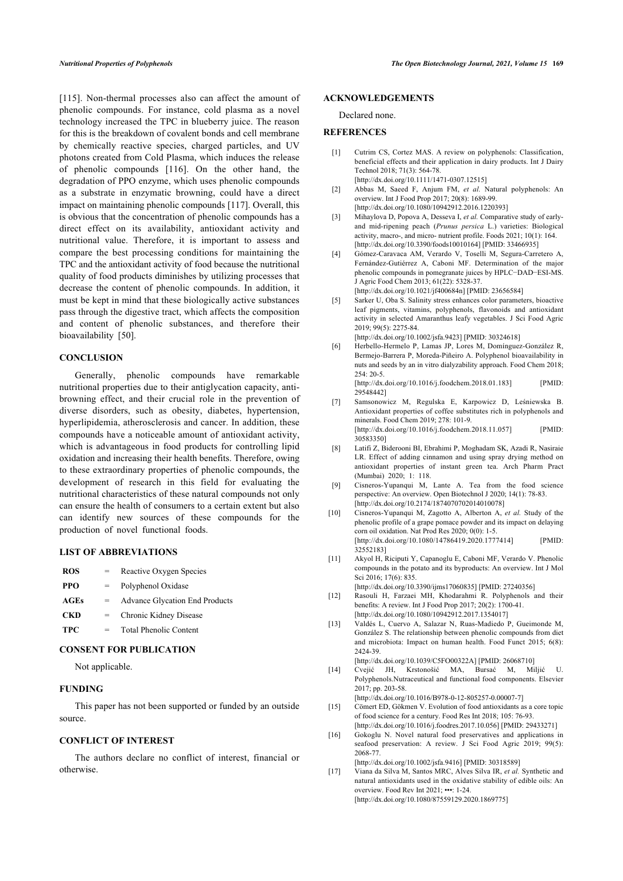<span id="page-5-2"></span><span id="page-5-1"></span><span id="page-5-0"></span>[[115\]](#page-8-22). Non-thermal processes also can affect the amount of phenolic compounds. For instance, cold plasma as a novel technology increased the TPC in blueberry juice. The reason for this is the breakdown of covalent bonds and cell membrane by chemically reactive species, charged particles, and UV photons created from Cold Plasma, which induces the release of phenolic compounds [\[116](#page-8-23)]. On the other hand, the degradation of PPO enzyme, which uses phenolic compounds as a substrate in enzymatic browning, could have a direct impact on maintaining phenolic compounds [[117](#page-8-24)]. Overall, this is obvious that the concentration of phenolic compounds has a direct effect on its availability, antioxidant activity and nutritional value. Therefore, it is important to assess and compare the best processing conditions for maintaining the TPC and the antioxidant activity of food because the nutritional quality of food products diminishes by utilizing processes that decrease the content of phenolic compounds. In addition, it must be kept in mind that these biologically active substances pass through the digestive tract, which affects the composition and content of phenolic substances, and therefore their bioavailability[[50\]](#page-6-14).

#### <span id="page-5-5"></span><span id="page-5-4"></span><span id="page-5-3"></span>**CONCLUSION**

<span id="page-5-7"></span><span id="page-5-6"></span>Generally, phenolic compounds have remarkable nutritional properties due to their antiglycation capacity, antibrowning effect, and their crucial role in the prevention of diverse disorders, such as obesity, diabetes, hypertension, hyperlipidemia, atherosclerosis and cancer. In addition, these compounds have a noticeable amount of antioxidant activity, which is advantageous in food products for controlling lipid oxidation and increasing their health benefits. Therefore, owing to these extraordinary properties of phenolic compounds, the development of research in this field for evaluating the nutritional characteristics of these natural compounds not only can ensure the health of consumers to a certain extent but also can identify new sources of these compounds for the production of novel functional foods.

#### <span id="page-5-10"></span><span id="page-5-9"></span><span id="page-5-8"></span>**LIST OF ABBREVIATIONS**

<span id="page-5-11"></span>

| <b>ROS</b>  | $=$ | Reactive Oxygen Species               |
|-------------|-----|---------------------------------------|
| PPO         |     | Polyphenol Oxidase                    |
| <b>AGEs</b> |     | <b>Advance Glycation End Products</b> |
| <b>CKD</b>  |     | Chronic Kidney Disease                |
| <b>TPC</b>  |     | <b>Total Phenolic Content</b>         |

#### <span id="page-5-12"></span>**CONSENT FOR PUBLICATION**

Not applicable.

#### <span id="page-5-13"></span>**FUNDING**

<span id="page-5-14"></span>This paper has not been supported or funded by an outside source.

# <span id="page-5-15"></span>**CONFLICT OF INTEREST**

<span id="page-5-16"></span>The authors declare no conflict of interest, financial or otherwise.

#### **ACKNOWLEDGEMENTS**

Declared none.

#### **REFERENCES**

- [1] Cutrim CS, Cortez MAS. A review on polyphenols: Classification, beneficial effects and their application in dairy products. Int J Dairy Technol 2018; 71(3): 564-78. [\[http://dx.doi.org/10.1111/1471-0307.12515](http://dx.doi.org/10.1111/1471-0307.12515)]
- [2] Abbas M, Saeed F, Anjum FM, *et al.* Natural polyphenols: An overview. Int J Food Prop 2017; 20(8): 1689-99. [\[http://dx.doi.org/10.1080/10942912.2016.1220393](http://dx.doi.org/10.1080/10942912.2016.1220393)]
- [3] Mihaylova D, Popova A, Desseva I, *et al.* Comparative study of earlyand mid-ripening peach (*Prunus persica* L.) varieties: Biological activity, macro-, and micro- nutrient profile. Foods 2021; 10(1): 164. [\[http://dx.doi.org/10.3390/foods10010164](http://dx.doi.org/10.3390/foods10010164)] [PMID: [33466935\]](http://www.ncbi.nlm.nih.gov/pubmed/33466935)
- [4] Gómez-Caravaca AM, Verardo V, Toselli M, Segura-Carretero A, Fernández-Gutiérrez A, Caboni MF. Determination of the major phenolic compounds in pomegranate juices by HPLC−DAD−ESI-MS. J Agric Food Chem 2013; 61(22): 5328-37. [\[http://dx.doi.org/10.1021/jf400684n](http://dx.doi.org/10.1021/jf400684n)] [PMID: [23656584\]](http://www.ncbi.nlm.nih.gov/pubmed/23656584)
- [5] Sarker U, Oba S. Salinity stress enhances color parameters, bioactive leaf pigments, vitamins, polyphenols, flavonoids and antioxidant activity in selected Amaranthus leafy vegetables. J Sci Food Agric 2019; 99(5): 2275-84.
- [\[http://dx.doi.org/10.1002/jsfa.9423](http://dx.doi.org/10.1002/jsfa.9423)] [PMID: [30324618\]](http://www.ncbi.nlm.nih.gov/pubmed/30324618)
- [6] Herbello-Hermelo P, Lamas JP, Lores M, Domínguez-González R, Bermejo-Barrera P, Moreda-Piñeiro A. Polyphenol bioavailability in nuts and seeds by an in vitro dialyzability approach. Food Chem 2018; 254: 20-5.

[\[http://dx.doi.org/10.1016/j.foodchem.2018.01.183\]](http://dx.doi.org/10.1016/j.foodchem.2018.01.183) [PMID: [29548442\]](http://www.ncbi.nlm.nih.gov/pubmed/29548442)

- [7] Samsonowicz M, Regulska E, Karpowicz D, Leśniewska B. Antioxidant properties of coffee substitutes rich in polyphenols and minerals. Food Chem 2019; 278: 101-9. [\[http://dx.doi.org/10.1016/j.foodchem.2018.11.057\]](http://dx.doi.org/10.1016/j.foodchem.2018.11.057) [PMID: [30583350\]](http://www.ncbi.nlm.nih.gov/pubmed/30583350)
- [8] Latifi Z, Biderooni BI, Ebrahimi P, Moghadam SK, Azadi R, Nasiraie LR. Effect of adding cinnamon and using spray drying method on antioxidant properties of instant green tea. Arch Pharm Pract (Mumbai) 2020; 1: 118.
- [9] Cisneros-Yupanqui M, Lante A. Tea from the food science perspective: An overview. Open Biotechnol J 2020; 14(1): 78-83. [\[http://dx.doi.org/10.2174/1874070702014010078\]](http://dx.doi.org/10.2174/1874070702014010078)
- [10] Cisneros-Yupanqui M, Zagotto A, Alberton A, *et al.* Study of the phenolic profile of a grape pomace powder and its impact on delaying corn oil oxidation. Nat Prod Res 2020; 0(0): 1-5. [\[http://dx.doi.org/10.1080/14786419.2020.1777414](http://dx.doi.org/10.1080/14786419.2020.1777414)] [PMID: [32552183\]](http://www.ncbi.nlm.nih.gov/pubmed/32552183)
- [11] Akyol H, Riciputi Y, Capanoglu E, Caboni MF, Verardo V. Phenolic compounds in the potato and its byproducts: An overview. Int J Mol Sci 2016: 17(6): 835.

[\[http://dx.doi.org/10.3390/ijms17060835\]](http://dx.doi.org/10.3390/ijms17060835) [PMID: [27240356](http://www.ncbi.nlm.nih.gov/pubmed/27240356)]

- [12] Rasouli H, Farzaei MH, Khodarahmi R. Polyphenols and their benefits: A review. Int J Food Prop 2017; 20(2): 1700-41. [\[http://dx.doi.org/10.1080/10942912.2017.1354017](http://dx.doi.org/10.1080/10942912.2017.1354017)]
- [13] Valdés L, Cuervo A, Salazar N, Ruas-Madiedo P, Gueimonde M, González S. The relationship between phenolic compounds from diet and microbiota: Impact on human health. Food Funct 2015; 6(8): 2424-39.
	- [\[http://dx.doi.org/10.1039/C5FO00322A](http://dx.doi.org/10.1039/C5FO00322A)] [PMID: [26068710\]](http://www.ncbi.nlm.nih.gov/pubmed/26068710)
- [14] Cvejić JH, Krstonošić MA, Bursać M, Miljić U. Polyphenols.Nutraceutical and functional food components. Elsevier 2017; pp. 203-58.
- [\[http://dx.doi.org/10.1016/B978-0-12-805257-0.00007-7](http://dx.doi.org/10.1016/B978-0-12-805257-0.00007-7)] [15] Cömert ED, Gökmen V. Evolution of food antioxidants as a core topic of food science for a century. Food Res Int 2018; 105: 76-93. [\[http://dx.doi.org/10.1016/j.foodres.2017.10.056\]](http://dx.doi.org/10.1016/j.foodres.2017.10.056) [PMID: [29433271\]](http://www.ncbi.nlm.nih.gov/pubmed/29433271)
- [16] Gokoglu N. Novel natural food preservatives and applications in seafood preservation: A review. J Sci Food Agric 2019; 99(5): 2068-77.

[\[http://dx.doi.org/10.1002/jsfa.9416](http://dx.doi.org/10.1002/jsfa.9416)] [PMID: [30318589\]](http://www.ncbi.nlm.nih.gov/pubmed/30318589)

[17] Viana da Silva M, Santos MRC, Alves Silva IR, *et al.* Synthetic and natural antioxidants used in the oxidative stability of edible oils: An overview. Food Rev Int 2021; •••: 1-24. [\[http://dx.doi.org/10.1080/87559129.2020.1869775](http://dx.doi.org/10.1080/87559129.2020.1869775)]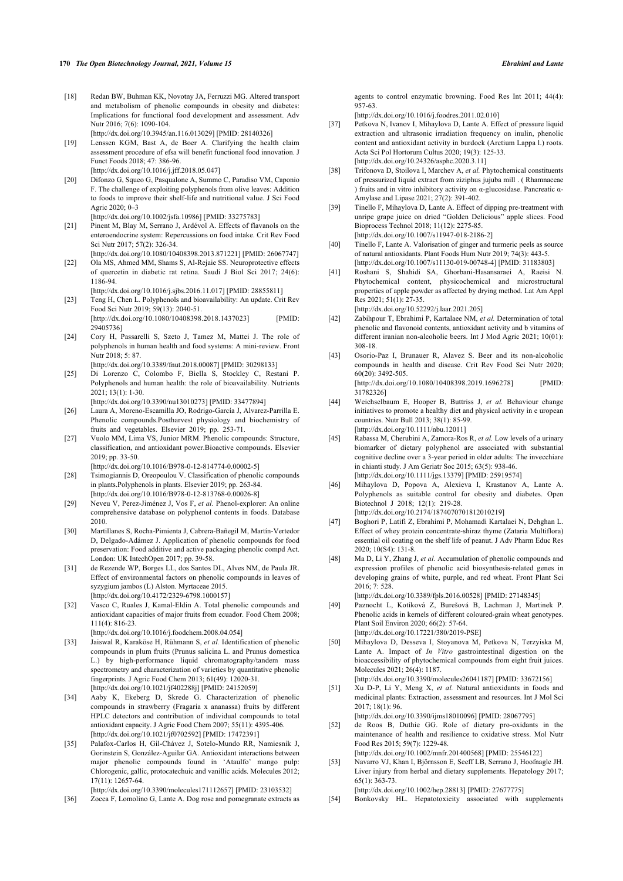- <span id="page-6-0"></span>[18] Redan BW, Buhman KK, Novotny JA, Ferruzzi MG. Altered transport and metabolism of phenolic compounds in obesity and diabetes: Implications for functional food development and assessment. Adv Nutr 2016; 7(6): 1090-104. [\[http://dx.doi.org/10.3945/an.116.013029\]](http://dx.doi.org/10.3945/an.116.013029) [PMID: [28140326](http://www.ncbi.nlm.nih.gov/pubmed/28140326)]
- <span id="page-6-18"></span><span id="page-6-1"></span>[19] Lenssen KGM, Bast A, de Boer A. Clarifying the health claim assessment procedure of efsa will benefit functional food innovation. J Funct Foods 2018; 47: 386-96. [\[http://dx.doi.org/10.1016/j.jff.2018.05.047](http://dx.doi.org/10.1016/j.jff.2018.05.047)]
- <span id="page-6-19"></span><span id="page-6-2"></span>[20] Difonzo G, Squeo G, Pasqualone A, Summo C, Paradiso VM, Caponio F. The challenge of exploiting polyphenols from olive leaves: Addition to foods to improve their shelf-life and nutritional value. J Sci Food Agric 2020; 0–3

[\[http://dx.doi.org/10.1002/jsfa.10986\]](http://dx.doi.org/10.1002/jsfa.10986) [PMID: [33275783](http://www.ncbi.nlm.nih.gov/pubmed/33275783)]

- <span id="page-6-20"></span><span id="page-6-3"></span>[21] Pinent M, Blay M, Serrano J, Ardévol A. Effects of flavanols on the enteroendocrine system: Repercussions on food intake. Crit Rev Food Sci Nutr 2017; 57(2): 326-34.
- <span id="page-6-22"></span><span id="page-6-21"></span><span id="page-6-4"></span>[\[http://dx.doi.org/10.1080/10408398.2013.871221\]](http://dx.doi.org/10.1080/10408398.2013.871221) [PMID: [26067747](http://www.ncbi.nlm.nih.gov/pubmed/26067747)] [22] Ola MS, Ahmed MM, Shams S, Al-Rejaie SS. Neuroprotective effects of quercetin in diabetic rat retina. Saudi J Biol Sci 2017; 24(6): 1186-94.
- [\[http://dx.doi.org/10.1016/j.sjbs.2016.11.017\]](http://dx.doi.org/10.1016/j.sjbs.2016.11.017) [PMID: [28855811](http://www.ncbi.nlm.nih.gov/pubmed/28855811)] [23] Teng H, Chen L. Polyphenols and bioavailability: An update. Crit Rev Food Sci Nutr 2019; 59(13): 2040-51. [\[http://dx.doi.org/10.1080/10408398.2018.1437023\]](http://dx.doi.org/10.1080/10408398.2018.1437023) [PMID:
- <span id="page-6-23"></span><span id="page-6-5"></span>[29405736\]](http://www.ncbi.nlm.nih.gov/pubmed/29405736) [24] Cory H, Passarelli S, Szeto J, Tamez M, Mattei J. The role of polyphenols in human health and food systems: A mini-review. Front Nutr 2018: 5: 87.

[\[http://dx.doi.org/10.3389/fnut.2018.00087](http://dx.doi.org/10.3389/fnut.2018.00087)] [PMID: [30298133](http://www.ncbi.nlm.nih.gov/pubmed/30298133)]

- <span id="page-6-24"></span><span id="page-6-6"></span>[25] Di Lorenzo C, Colombo F, Biella S, Stockley C, Restani P. Polyphenols and human health: the role of bioavailability. Nutrients 2021; 13(1): 1-30.
- [\[http://dx.doi.org/10.3390/nu13010273](http://dx.doi.org/10.3390/nu13010273)] [PMID: [33477894\]](http://www.ncbi.nlm.nih.gov/pubmed/33477894)
- <span id="page-6-25"></span><span id="page-6-7"></span>[26] Laura A, Moreno-Escamilla JO, Rodrigo-García J, Alvarez-Parrilla E. Phenolic compounds.Postharvest physiology and biochemistry of fruits and vegetables. Elsevier 2019; pp. 253-71.
- <span id="page-6-8"></span>[27] Vuolo MM, Lima VS, Junior MRM. Phenolic compounds: Structure, classification, and antioxidant power.Bioactive compounds. Elsevier 2019; pp. 33-50.

[\[http://dx.doi.org/10.1016/B978-0-12-814774-0.00002-5\]](http://dx.doi.org/10.1016/B978-0-12-814774-0.00002-5)

- <span id="page-6-26"></span><span id="page-6-9"></span>[28] Tsimogiannis D, Oreopoulou V. Classification of phenolic compounds in plants.Polyphenols in plants. Elsevier 2019; pp. 263-84. [\[http://dx.doi.org/10.1016/B978-0-12-813768-0.00026-8\]](http://dx.doi.org/10.1016/B978-0-12-813768-0.00026-8)
- <span id="page-6-10"></span>[29] Neveu V, Perez-Jiménez J, Vos F, *et al.* Phenol-explorer: An online comprehensive database on polyphenol contents in foods. Database 2010.
- <span id="page-6-27"></span><span id="page-6-11"></span>[30] Martillanes S, Rocha-Pimienta J, Cabrera-Bañegil M, Martín-Vertedor D, Delgado-Adámez J. Application of phenolic compounds for food preservation: Food additive and active packaging phenolic compd Act. London: UK IntechOpen 2017; pp. 39-58.
- <span id="page-6-28"></span><span id="page-6-12"></span>[31] de Rezende WP, Borges LL, dos Santos DL, Alves NM, de Paula JR. Effect of environmental factors on phenolic compounds in leaves of syzygium jambos (L) Alston. Myrtaceae 2015. [\[http://dx.doi.org/10.4172/2329-6798.1000157\]](http://dx.doi.org/10.4172/2329-6798.1000157)
- <span id="page-6-13"></span>[32] Vasco C, Ruales J, Kamal-Eldin A. Total phenolic compounds and antioxidant capacities of major fruits from ecuador. Food Chem 2008; 111(4): 816-23.

[\[http://dx.doi.org/10.1016/j.foodchem.2008.04.054\]](http://dx.doi.org/10.1016/j.foodchem.2008.04.054)

- <span id="page-6-14"></span>[33] Jaiswal R, Karaköse H, Rühmann S, *et al.* Identification of phenolic compounds in plum fruits (Prunus salicina L. and Prunus domestica L.) by high-performance liquid chromatography/tandem mass spectrometry and characterization of varieties by quantitative phenolic fingerprints. J Agric Food Chem 2013; 61(49): 12020-31. [\[http://dx.doi.org/10.1021/jf402288j](http://dx.doi.org/10.1021/jf402288j)] [PMID: [24152059](http://www.ncbi.nlm.nih.gov/pubmed/24152059)]
- <span id="page-6-29"></span><span id="page-6-15"></span>[34] Aaby K, Ekeberg D, Skrede G. Characterization of phenolic compounds in strawberry (Fragaria x ananassa) fruits by different HPLC detectors and contribution of individual compounds to total antioxidant capacity. J Agric Food Chem 2007; 55(11): 4395-406. [\[http://dx.doi.org/10.1021/jf0702592\]](http://dx.doi.org/10.1021/jf0702592) [PMID: [17472391\]](http://www.ncbi.nlm.nih.gov/pubmed/17472391)
- <span id="page-6-31"></span><span id="page-6-30"></span><span id="page-6-16"></span>[35] Palafox-Carlos H, Gil-Chávez J, Sotelo-Mundo RR, Namiesnik J, Gorinstein S, González-Aguilar GA. Antioxidant interactions between major phenolic compounds found in 'Ataulfo' mango pulp: Chlorogenic, gallic, protocatechuic and vanillic acids. Molecules 2012; 17(11): 12657-64.

[\[http://dx.doi.org/10.3390/molecules171112657](http://dx.doi.org/10.3390/molecules171112657)] [PMID: [23103532\]](http://www.ncbi.nlm.nih.gov/pubmed/23103532)

<span id="page-6-17"></span>[36] Zocca F, Lomolino G, Lante A. Dog rose and pomegranate extracts as

agents to control enzymatic browning. Food Res Int 2011; 44(4): 957-63.

[\[http://dx.doi.org/10.1016/j.foodres.2011.02.010\]](http://dx.doi.org/10.1016/j.foodres.2011.02.010)

- [37] Petkova N, Ivanov I, Mihaylova D, Lante A, Effect of pressure liquid extraction and ultrasonic irradiation frequency on inulin, phenolic content and antioxidant activity in burdock (Arctium Lappa l.) roots. Acta Sci Pol Hortorum Cultus 2020; 19(3): 125-33. [\[http://dx.doi.org/10.24326/asphc.2020.3.11\]](http://dx.doi.org/10.24326/asphc.2020.3.11)
- [38] Trifonova D, Stoilova I, Marchev A, *et al.* Phytochemical constituents of pressurized liquid extract from ziziphus jujubа mill . ( Rhamnaceae ) fruits and in vitro inhibitory activity on α-glucosidase. Pancreatic α-Amylase and Lipase 2021; 27(2): 391-402.
- [39] Tinello F, Mihaylova D, Lante A. Effect of dipping pre-treatment with unripe grape juice on dried "Golden Delicious" apple slices. Food Bioprocess Technol 2018; 11(12): 2275-85. [\[http://dx.doi.org/10.1007/s11947-018-2186-2\]](http://dx.doi.org/10.1007/s11947-018-2186-2)
- [40] Tinello F, Lante A. Valorisation of ginger and turmeric peels as source of natural antioxidants. Plant Foods Hum Nutr 2019; 74(3): 443-5. [\[http://dx.doi.org/10.1007/s11130-019-00748-4](http://dx.doi.org/10.1007/s11130-019-00748-4)] [PMID: [31183803\]](http://www.ncbi.nlm.nih.gov/pubmed/31183803)
- [41] Roshani S, Shahidi SA, Ghorbani-Hasansaraei A, Raeisi N. Phytochemical content, physicochemical and microstructural properties of apple powder as affected by drying method. Lat Am Appl Res 2021; 51(1): 27-35. [\[http://dx.doi.org/10.52292/j.laar.2021.205](http://dx.doi.org/10.52292/j.laar.2021.205)]

[42] Zabihpour T, Ebrahimi P, Kartalaee NM, *et al.* Determination of total

- phenolic and flavonoid contents, antioxidant activity and b vitamins of different iranian non-alcoholic beers. Int J Mod Agric 2021; 10(01): 308-18.
- [43] Osorio-Paz I, Brunauer R, Alavez S. Beer and its non-alcoholic compounds in health and disease. Crit Rev Food Sci Nutr 2020; 60(20): 3492-505. [\[http://dx.doi.org/10.1080/10408398.2019.1696278](http://dx.doi.org/10.1080/10408398.2019.1696278)] [PMID:
	- [31782326\]](http://www.ncbi.nlm.nih.gov/pubmed/31782326)
- [44] Weichselbaum E, Hooper B, Buttriss J, *et al.* Behaviour change initiatives to promote a healthy diet and physical activity in e uropean countries. Nutr Bull 2013; 38(1): 85-99. [\[http://dx.doi.org/10.1111/nbu.12011](http://dx.doi.org/10.1111/nbu.12011)]
- [45] Rabassa M, Cherubini A, Zamora-Ros R, *et al.* Low levels of a urinary biomarker of dietary polyphenol are associated with substantial cognitive decline over a 3-year period in older adults: The invecchiare in chianti study. J Am Geriatr Soc 2015; 63(5): 938-46. [\[http://dx.doi.org/10.1111/jgs.13379\]](http://dx.doi.org/10.1111/jgs.13379) [PMID: [25919574](http://www.ncbi.nlm.nih.gov/pubmed/25919574)]
- [46] Mihaylova D, Popova A, Alexieva I, Krastanov A, Lante A. Polyphenols as suitable control for obesity and diabetes. Open Biotechnol J 2018; 12(1): 219-28.

[\[http://dx.doi.org/10.2174/1874070701812010219\]](http://dx.doi.org/10.2174/1874070701812010219)

- [47] Boghori P, Latifi Z, Ebrahimi P, Mohamadi Kartalaei N, Dehghan L. Effect of whey protein concentrate-shiraz thyme (Zataria Multiflora) essential oil coating on the shelf life of peanut. J Adv Pharm Educ Res 2020; 10(S4): 131-8.
- [48] Ma D, Li Y, Zhang J, *et al.* Accumulation of phenolic compounds and expression profiles of phenolic acid biosynthesis-related genes in developing grains of white, purple, and red wheat. Front Plant Sci 2016; 7: 528.

[\[http://dx.doi.org/10.3389/fpls.2016.00528\]](http://dx.doi.org/10.3389/fpls.2016.00528) [PMID: [27148345\]](http://www.ncbi.nlm.nih.gov/pubmed/27148345)

[49] Paznocht L, Kotíková Z, Burešová B, Lachman J, Martinek P. Phenolic acids in kernels of different coloured-grain wheat genotypes. Plant Soil Environ 2020; 66(2): 57-64. [\[http://dx.doi.org/10.17221/380/2019-PSE\]](http://dx.doi.org/10.17221/380/2019-PSE)

[50] Mihaylova D, Desseva I, Stoyanova M, Petkova N, Terzyiska M, Lante A. Impact of *In Vitro* gastrointestinal digestion on the bioaccessibility of phytochemical compounds from eight fruit juices. Molecules 2021; 26(4): 1187.

[\[http://dx.doi.org/10.3390/molecules26041187\]](http://dx.doi.org/10.3390/molecules26041187) [PMID: [33672156](http://www.ncbi.nlm.nih.gov/pubmed/33672156)] [51] Xu D-P, Li Y, Meng X, *et al.* Natural antioxidants in foods and medicinal plants: Extraction, assessment and resources. Int J Mol Sci 2017; 18(1): 96.

[\[http://dx.doi.org/10.3390/ijms18010096\]](http://dx.doi.org/10.3390/ijms18010096) [PMID: [28067795](http://www.ncbi.nlm.nih.gov/pubmed/28067795)]

- [52] de Roos B, Duthie GG. Role of dietary pro-oxidants in the maintenance of health and resilience to oxidative stress. Mol Nutr Food Res 2015; 59(7): 1229-48.
- [\[http://dx.doi.org/10.1002/mnfr.201400568](http://dx.doi.org/10.1002/mnfr.201400568)] [PMID: [25546122\]](http://www.ncbi.nlm.nih.gov/pubmed/25546122) [53] Navarro VJ, Khan I, Björnsson E, Seeff LB, Serrano J, Hoofnagle JH. Liver injury from herbal and dietary supplements. Hepatology 2017; 65(1): 363-73.

[\[http://dx.doi.org/10.1002/hep.28813\]](http://dx.doi.org/10.1002/hep.28813) [PMID: [27677775](http://www.ncbi.nlm.nih.gov/pubmed/27677775)]

[54] Bonkovsky HL. Hepatotoxicity associated with supplements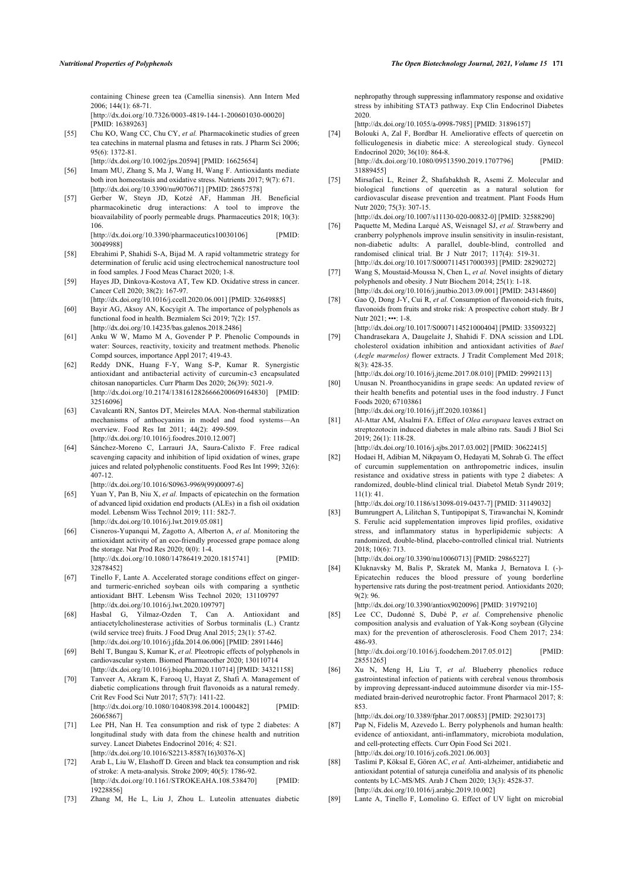containing Chinese green tea (Camellia sinensis). Ann Intern Med 2006; 144(1): 68-71. [\[http://dx.doi.org/10.7326/0003-4819-144-1-200601030-00020\]](http://dx.doi.org/10.7326/0003-4819-144-1-200601030-00020)

[PMID: [16389263](http://www.ncbi.nlm.nih.gov/pubmed/16389263)]

- <span id="page-7-0"></span>[55] Chu KO, Wang CC, Chu CY, *et al.* Pharmacokinetic studies of green tea catechins in maternal plasma and fetuses in rats. J Pharm Sci 2006; 95(6): 1372-81.
	- [\[http://dx.doi.org/10.1002/jps.20594\]](http://dx.doi.org/10.1002/jps.20594) [PMID: [16625654](http://www.ncbi.nlm.nih.gov/pubmed/16625654)]
- <span id="page-7-24"></span><span id="page-7-1"></span>[56] Imam MU, Zhang S, Ma J, Wang H, Wang F. Antioxidants mediate both iron homeostasis and oxidative stress. Nutrients 2017; 9(7): 671. [\[http://dx.doi.org/10.3390/nu9070671\]](http://dx.doi.org/10.3390/nu9070671) [PMID: [28657578](http://www.ncbi.nlm.nih.gov/pubmed/28657578)]
- <span id="page-7-25"></span><span id="page-7-2"></span>[57] Gerber W, Steyn JD, Kotzé AF, Hamman JH. Beneficial pharmacokinetic drug interactions: A tool to improve the bioavailability of poorly permeable drugs. Pharmaceutics 2018; 10(3): 106.

[\[http://dx.doi.org/10.3390/pharmaceutics10030106](http://dx.doi.org/10.3390/pharmaceutics10030106)] [PMID: [30049988\]](http://www.ncbi.nlm.nih.gov/pubmed/30049988)

- <span id="page-7-3"></span>[58] Ebrahimi P, Shahidi S-A, Bijad M. A rapid voltammetric strategy for determination of ferulic acid using electrochemical nanostructure tool in food samples. J Food Meas Charact 2020; 1-8.
- <span id="page-7-26"></span><span id="page-7-4"></span>[59] Hayes JD, Dinkova-Kostova AT, Tew KD. Oxidative stress in cancer. Cancer Cell 2020; 38(2): 167-97.

<span id="page-7-27"></span>[\[http://dx.doi.org/10.1016/j.ccell.2020.06.001\]](http://dx.doi.org/10.1016/j.ccell.2020.06.001) [PMID: [32649885](http://www.ncbi.nlm.nih.gov/pubmed/32649885)] [60] Bayir AG, Aksoy AN, Kocyigit A. The importance of polyphenols as

- <span id="page-7-5"></span>functional food in health. Bezmialem Sci 2019; 7(2): 157. [\[http://dx.doi.org/10.14235/bas.galenos.2018.2486\]](http://dx.doi.org/10.14235/bas.galenos.2018.2486) [61] Anku W W, Mamo M A, Govender P P. Phenolic Compounds in
- <span id="page-7-6"></span>water: Sources, reactivity, toxicity and treatment methods. Phenolic Compd sources, importance Appl 2017; 419-43.
- <span id="page-7-28"></span><span id="page-7-7"></span>[62] Reddy DNK, Huang F-Y, Wang S-P, Kumar R. Synergistic antioxidant and antibacterial activity of curcumin-c3 encapsulated chitosan nanoparticles. Curr Pharm Des 2020; 26(39): 5021-9. [\[http://dx.doi.org/10.2174/1381612826666200609164830\]](http://dx.doi.org/10.2174/1381612826666200609164830) [PMID: [32516096\]](http://www.ncbi.nlm.nih.gov/pubmed/32516096)
- <span id="page-7-10"></span><span id="page-7-8"></span>[63] Cavalcanti RN, Santos DT, Meireles MAA. Non-thermal stabilization mechanisms of anthocyanins in model and food systems—An overview. Food Res Int 2011; 44(2): 499-509. [\[http://dx.doi.org/10.1016/j.foodres.2010.12.007\]](http://dx.doi.org/10.1016/j.foodres.2010.12.007)
- <span id="page-7-11"></span><span id="page-7-9"></span>[64] Sánchez-Moreno C, Larrauri JA, Saura-Calixto F. Free radical scavenging capacity and inhibition of lipid oxidation of wines, grape juices and related polyphenolic constituents. Food Res Int 1999; 32(6): 407-12.

[\[http://dx.doi.org/10.1016/S0963-9969\(99\)00097-6](http://dx.doi.org/10.1016/S0963-9969(99)00097-6)]

- <span id="page-7-18"></span><span id="page-7-12"></span>[65] Yuan Y, Pan B, Niu X, *et al.* Impacts of epicatechin on the formation of advanced lipid oxidation end products (ALEs) in a fish oil oxidation model. Lebensm Wiss Technol 2019; 111: 582-7. [\[http://dx.doi.org/10.1016/j.lwt.2019.05.081\]](http://dx.doi.org/10.1016/j.lwt.2019.05.081)
- <span id="page-7-19"></span>[66] Cisneros-Yupanqui M, Zagotto A, Alberton A, *et al.* Monitoring the antioxidant activity of an eco-friendly processed grape pomace along the storage. Nat Prod Res 2020; 0(0): 1-4. [\[http://dx.doi.org/10.1080/14786419.2020.1815741\]](http://dx.doi.org/10.1080/14786419.2020.1815741) [PMID: [32878452\]](http://www.ncbi.nlm.nih.gov/pubmed/32878452)
- <span id="page-7-20"></span><span id="page-7-13"></span>[67] Tinello F, Lante A. Accelerated storage conditions effect on gingerand turmeric-enriched soybean oils with comparing a synthetic antioxidant BHT. Lebensm Wiss Technol 2020; 131109797 [\[http://dx.doi.org/10.1016/j.lwt.2020.109797](http://dx.doi.org/10.1016/j.lwt.2020.109797)]
- <span id="page-7-14"></span>[68] Hasbal G, Yilmaz-Ozden T, Can A. Antioxidant and antiacetylcholinesterase activities of Sorbus torminalis (L.) Crantz (wild service tree) fruits. J Food Drug Anal 2015; 23(1): 57-62. [\[http://dx.doi.org/10.1016/j.jfda.2014.06.006\]](http://dx.doi.org/10.1016/j.jfda.2014.06.006) [PMID: [28911446](http://www.ncbi.nlm.nih.gov/pubmed/28911446)]
- <span id="page-7-21"></span>[69] Behl T, Bungau S, Kumar K, *et al.* Pleotropic effects of polyphenols in cardiovascular system. Biomed Pharmacother 2020; 130110714 [\[http://dx.doi.org/10.1016/j.biopha.2020.110714](http://dx.doi.org/10.1016/j.biopha.2020.110714)] [PMID: [34321158](http://www.ncbi.nlm.nih.gov/pubmed/34321158)]
- <span id="page-7-22"></span><span id="page-7-15"></span>[70] Tanveer A, Akram K, Farooq U, Hayat Z, Shafi A. Management of diabetic complications through fruit flavonoids as a natural remedy. Crit Rev Food Sci Nutr 2017; 57(7): 1411-22. [\[http://dx.doi.org/10.1080/10408398.2014.1000482\]](http://dx.doi.org/10.1080/10408398.2014.1000482) [PMID: [26065867\]](http://www.ncbi.nlm.nih.gov/pubmed/26065867)
- <span id="page-7-16"></span>[71] Lee PH, Nan H. Tea consumption and risk of type 2 diabetes: A longitudinal study with data from the chinese health and nutrition survey. Lancet Diabetes Endocrinol 2016; 4: S21. [\[http://dx.doi.org/10.1016/S2213-8587\(16\)30376-X\]](http://dx.doi.org/10.1016/S2213-8587(16)30376-X)
- <span id="page-7-17"></span>[72] Arab L, Liu W, Elashoff D. Green and black tea consumption and risk of stroke: A meta-analysis. Stroke 2009; 40(5): 1786-92. [\[http://dx.doi.org/10.1161/STROKEAHA.108.538470](http://dx.doi.org/10.1161/STROKEAHA.108.538470)] [PMID: [19228856\]](http://www.ncbi.nlm.nih.gov/pubmed/19228856)
- <span id="page-7-23"></span>[73] Zhang M, He L, Liu J, Zhou L. Luteolin attenuates diabetic

nephropathy through suppressing inflammatory response and oxidative stress by inhibiting STAT3 pathway. Exp Clin Endocrinol Diabetes 2020.

[\[http://dx.doi.org/10.1055/a-0998-7985](http://dx.doi.org/10.1055/a-0998-7985)] [PMID: [31896157\]](http://www.ncbi.nlm.nih.gov/pubmed/31896157)

- [74] Bolouki A, Zal F, Bordbar H. Ameliorative effects of quercetin on folliculogenesis in diabetic mice: A stereological study. Gynecol Endocrinol 2020; 36(10): 864-8. [\[http://dx.doi.org/10.1080/09513590.2019.1707796](http://dx.doi.org/10.1080/09513590.2019.1707796)] [31889455\]](http://www.ncbi.nlm.nih.gov/pubmed/31889455)
- [75] Mirsafaei L, Reiner Ž, Shafabakhsh R, Asemi Z. Molecular and biological functions of quercetin as a natural solution for cardiovascular disease prevention and treatment. Plant Foods Hum Nutr 2020; 75(3): 307-15.

[\[http://dx.doi.org/10.1007/s11130-020-00832-0](http://dx.doi.org/10.1007/s11130-020-00832-0)] [PMID: [32588290\]](http://www.ncbi.nlm.nih.gov/pubmed/32588290)

- [76] Paquette M, Medina Larqué AS, Weisnagel SJ, *et al.* Strawberry and cranberry polyphenols improve insulin sensitivity in insulin-resistant, non-diabetic adults: A parallel, double-blind, controlled and randomised clinical trial. Br J Nutr 2017; 117(4): 519-31. [\[http://dx.doi.org/10.1017/S0007114517000393](http://dx.doi.org/10.1017/S0007114517000393)] [PMID: [28290272\]](http://www.ncbi.nlm.nih.gov/pubmed/28290272)
- [77] Wang S, Moustaid-Moussa N, Chen L, *et al.* Novel insights of dietary polyphenols and obesity. J Nutr Biochem 2014; 25(1): 1-18. [\[http://dx.doi.org/10.1016/j.jnutbio.2013.09.001\]](http://dx.doi.org/10.1016/j.jnutbio.2013.09.001) [PMID: [24314860](http://www.ncbi.nlm.nih.gov/pubmed/24314860)]
- [78] Gao Q, Dong J-Y, Cui R, *et al.* Consumption of flavonoid-rich fruits, flavonoids from fruits and stroke risk: A prospective cohort study. Br J Nutr  $2021: \cdots 1-8$ .

[\[http://dx.doi.org/10.1017/S0007114521000404](http://dx.doi.org/10.1017/S0007114521000404)] [PMID: [33509322\]](http://www.ncbi.nlm.nih.gov/pubmed/33509322) [79] Chandrasekara A, Daugelaite J, Shahidi F. DNA scission and LDL

cholesterol oxidation inhibition and antioxidant activities of *Bael* (*Aegle marmelos)* flower extracts. J Tradit Complement Med 2018; 8(3): 428-35.

[\[http://dx.doi.org/10.1016/j.jtcme.2017.08.010](http://dx.doi.org/10.1016/j.jtcme.2017.08.010)] [PMID: [29992113](http://www.ncbi.nlm.nih.gov/pubmed/29992113)]

[80] Unusan N. Proanthocyanidins in grape seeds: An updated review of their health benefits and potential uses in the food industry. J Funct Foods 2020; 67103861

[\[http://dx.doi.org/10.1016/j.jff.2020.103861](http://dx.doi.org/10.1016/j.jff.2020.103861)]

[81] Al-Attar AM, Alsalmi FA. Effect of *Olea europaea* leaves extract on streptozotocin induced diabetes in male albino rats. Saudi J Biol Sci 2019; 26(1): 118-28.

[\[http://dx.doi.org/10.1016/j.sjbs.2017.03.002\]](http://dx.doi.org/10.1016/j.sjbs.2017.03.002) [PMID: [30622415](http://www.ncbi.nlm.nih.gov/pubmed/30622415)]

[82] Hodaei H, Adibian M, Nikpayam O, Hedayati M, Sohrab G. The effect of curcumin supplementation on anthropometric indices, insulin resistance and oxidative stress in patients with type 2 diabetes: A randomized, double-blind clinical trial. Diabetol Metab Syndr 2019; 11(1): 41.

[\[http://dx.doi.org/10.1186/s13098-019-0437-7\]](http://dx.doi.org/10.1186/s13098-019-0437-7) [PMID: [31149032](http://www.ncbi.nlm.nih.gov/pubmed/31149032)]

[83] Bumrungpert A, Lilitchan S, Tuntipopipat S, Tirawanchai N, Komindr S. Ferulic acid supplementation improves lipid profiles, oxidative stress, and inflammatory status in hyperlipidemic subjects: A randomized, double-blind, placebo-controlled clinical trial. Nutrients 2018; 10(6): 713. [\[http://dx.doi.org/10.3390/nu10060713](http://dx.doi.org/10.3390/nu10060713)] [PMID: [29865227](http://www.ncbi.nlm.nih.gov/pubmed/29865227)]

[84] Kluknavsky M, Balis P, Skratek M, Manka J, Bernatova I. (-)-

Epicatechin reduces the blood pressure of young borderline hypertensive rats during the post-treatment period. Antioxidants 2020; 9(2): 96.

[\[http://dx.doi.org/10.3390/antiox9020096](http://dx.doi.org/10.3390/antiox9020096)] [PMID: [31979210](http://www.ncbi.nlm.nih.gov/pubmed/31979210)]

[85] Lee CC, Dudonné S, Dubé P, *et al.* Comprehensive phenolic composition analysis and evaluation of Yak-Kong soybean (Glycine max) for the prevention of atherosclerosis. Food Chem 2017; 234: 486-93.

[\[http://dx.doi.org/10.1016/j.foodchem.2017.05.012\]](http://dx.doi.org/10.1016/j.foodchem.2017.05.012) [PMID: [28551265\]](http://www.ncbi.nlm.nih.gov/pubmed/28551265)

[86] Xu N, Meng H, Liu T, *et al.* Blueberry phenolics reduce gastrointestinal infection of patients with cerebral venous thrombosis by improving depressant-induced autoimmune disorder via mir-155 mediated brain-derived neurotrophic factor. Front Pharmacol 2017; 8: 853.

[\[http://dx.doi.org/10.3389/fphar.2017.00853](http://dx.doi.org/10.3389/fphar.2017.00853)] [PMID: [29230173\]](http://www.ncbi.nlm.nih.gov/pubmed/29230173)

- [87] Pap N, Fidelis M, Azevedo L. Berry polyphenols and human health: evidence of antioxidant, anti-inflammatory, microbiota modulation, and cell-protecting effects. Curr Opin Food Sci 2021. [\[http://dx.doi.org/10.1016/j.cofs.2021.06.003\]](http://dx.doi.org/10.1016/j.cofs.2021.06.003)
- [88] Taslimi P, Köksal E, Gören AC, *et al.* Anti-alzheimer, antidiabetic and antioxidant potential of satureja cuneifolia and analysis of its phenolic contents by LC-MS/MS. Arab J Chem 2020; 13(3): 4528-37. [\[http://dx.doi.org/10.1016/j.arabjc.2019.10.002](http://dx.doi.org/10.1016/j.arabjc.2019.10.002)]
- [89] Lante A, Tinello F, Lomolino G. Effect of UV light on microbial